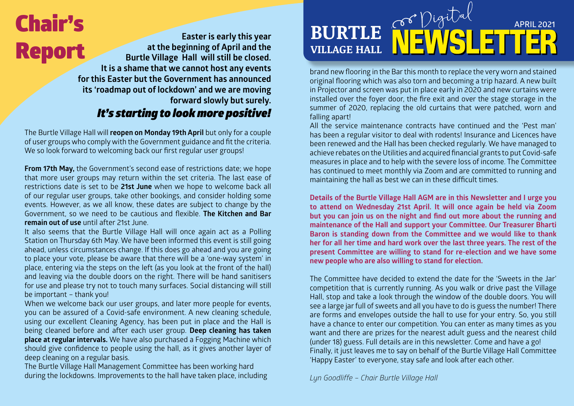# Report

 **Easter is early this year at the beginning of April and the Burtle Village Hall will still be closed. It is a shame that we cannot host any events for this Easter but the Government has announced its 'roadmap out of lockdown' and we are moving forward slowly but surely.** 

### *It's starting to look more positive!*

The Burtle Village Hall will **reopen on Monday 19th April** but only for a couple of user groups who comply with the Government guidance and fit the criteria. We so look forward to welcoming back our first regular user groups!

**From 17th May,** the Government's second ease of restrictions date; we hope that more user groups may return within the set criteria. The last ease of restrictions date is set to be **21st June** when we hope to welcome back all of our regular user groups, take other bookings, and consider holding some events. However, as we all know, these dates are subject to change by the Government, so we need to be cautious and flexible. **The Kitchen and Bar remain out of use** until after 21st June.

It also seems that the Burtle Village Hall will once again act as a Polling Station on Thursday 6th May. We have been informed this event is still going ahead, unless circumstances change. If this does go ahead and you are going to place your vote, please be aware that there will be a 'one-way system' in place, entering via the steps on the left (as you look at the front of the hall) and leaving via the double doors on the right. There will be hand sanitisers for use and please try not to touch many surfaces. Social distancing will still be important – thank you!

When we welcome back our user groups, and later more people for events, you can be assured of a Covid-safe environment. A new cleaning schedule, using our excellent Cleaning Agency, has been put in place and the Hall is being cleaned before and after each user group. **Deep cleaning has taken place at regular intervals.** We have also purchased a Fogging Machine which should give confidence to people using the hall, as it gives another layer of deep cleaning on a regular basis.

The Burtle Village Hall Management Committee has been working hard during the lockdowns. Improvements to the hall have taken place, including

### **BURTLE VILLAGE HALL Chair's** Easter is early this year **BURTLE APRIL 100 APRIL 2021**

brand new flooring in the Bar this month to replace the very worn and stained original flooring which was also torn and becoming a trip hazard. A new built in Projector and screen was put in place early in 2020 and new curtains were installed over the foyer door, the fire exit and over the stage storage in the summer of 2020, replacing the old curtains that were patched, worn and falling apart!

All the service maintenance contracts have continued and the 'Pest man' has been a regular visitor to deal with rodents! Insurance and Licences have been renewed and the Hall has been checked regularly. We have managed to achieve rebates on the Utilities and acquired financial grants to put Covid-safe measures in place and to help with the severe loss of income. The Committee has continued to meet monthly via Zoom and are committed to running and maintaining the hall as best we can in these difficult times.

**Details of the Burtle Village Hall AGM are in this Newsletter and I urge you to attend on Wednesday 21st April. It will once again be held via Zoom but you can join us on the night and find out more about the running and maintenance of the Hall and support your Committee. Our Treasurer Bharti Baron is standing down from the Committee and we would like to thank her for all her time and hard work over the last three years. The rest of the present Committee are willing to stand for re-election and we have some new people who are also willing to stand for election.** 

The Committee have decided to extend the date for the 'Sweets in the Jar' competition that is currently running. As you walk or drive past the Village Hall, stop and take a look through the window of the double doors. You will see a large jar full of sweets and all you have to do is guess the number! There are forms and envelopes outside the hall to use for your entry. So, you still have a chance to enter our competition. You can enter as many times as you want and there are prizes for the nearest adult guess and the nearest child (under 18) guess. Full details are in this newsletter. Come and have a go! Finally, it just leaves me to say on behalf of the Burtle Village Hall Committee 'Happy Easter' to everyone, stay safe and look after each other.

*Lyn Goodliffe – Chair Burtle Village Hall*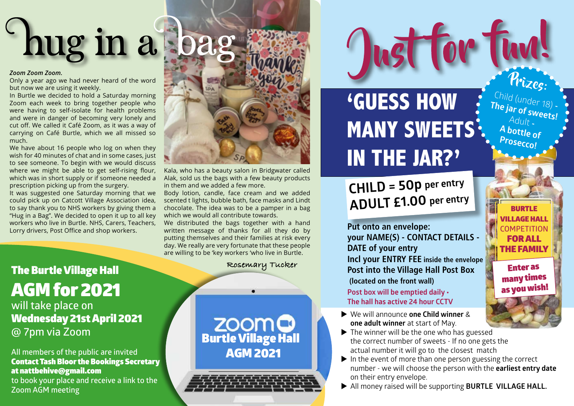# hug in a bag

#### *Zoom Zoom Zoom.*

Only a year ago we had never heard of the word but now we are using it weekly.

In Burtle we decided to hold a Saturday morning Zoom each week to bring together people who were having to self-isolate for health problems and were in danger of becoming very lonely and cut off. We called it Café Zoom, as it was a way of carrying on Café Burtle, which we all missed so much.

We have about 16 people who log on when they wish for 40 minutes of chat and in some cases, just to see someone. To begin with we would discuss where we might be able to get self-rising flour, which was in short supply or if someone needed a prescription picking up from the surgery.

It was suggested one Saturday morning that we could pick up on Catcott Village Association idea, to say thank you to NHS workers by giving them a "Hug in a Bag". We decided to open it up to all key workers who live in Burtle. NHS, Carers, Teachers, Lorry drivers, Post Office and shop workers.



Kala, who has a beauty salon in Bridgwater called Alak, sold us the bags with a few beauty products in them and we added a few more.

Body lotion, candle, face cream and we added scented t lights, bubble bath, face masks and Lindt chocolate. The idea was to be a pamper in a bag which we would all contribute towards.

We distributed the bags together with a hand written message of thanks for all they do by putting themselves and their families at risk every day. We really are very fortunate that these people are willing to be 'key workers 'who live in Burtle.

### Rosemary Tucker

**ZOOMO**<br>Burtle Village Hall AGM 2021

### **'GUESS HOW MANY SWEETS IN THE JAR?'**

 **CHILD = 50p per entry ADULT £1.00 per entry**

**Put onto an envelope: your NAME(S) - CONTACT DETAILS - DATE of your entry Incl your ENTRY FEE inside the envelope Post into the Village Hall Post Box (located on the front wall)**

#### **Post box will be emptied daily**  $\cdot$ **The hall has active 24 hour CCTV**

many times<br>as you wish!

Prizes:

Child (under 18)<br>**he iar of The jar of sweets! -**  Adult **- A bottle of Prosecco!**

> BURTLE VILLAGE HALL **COMPETITION** FOR ALL THE FAMILY

> > Enter as

- We will announce **one Child winner** & **one adult winner** at start of May.
- $\blacktriangleright$  The winner will be the one who has guessed the correct number of sweets - If no one gets the actual number it will go to the closest match
- $\blacktriangleright$  In the event of more than one person guessing the correct number - we will choose the person with the **earliest entry date** on their entry envelope.
- All money raised will be supporting **BURTLE VILLAGE HALL.**

The Burtle Village Hall AGM for 2021 **will take place on** Wednesday 21st April 2021

**@ 7pm via Zoom**

### **All members of the public are invited**  Contact Tash Bloor the Bookings Secretary at nattbehive@gmail.com

**to book your place and receive a link to the Zoom AGM meeting**